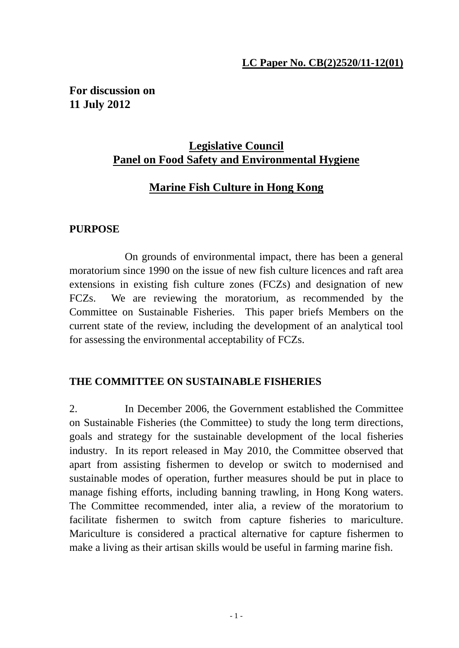#### **LC Paper No. CB(2)2520/11-12(01)**

**For discussion on 11 July 2012** 

# **Legislative Council Panel on Food Safety and Environmental Hygiene**

# **Marine Fish Culture in Hong Kong**

#### **PURPOSE**

 On grounds of environmental impact, there has been a general moratorium since 1990 on the issue of new fish culture licences and raft area extensions in existing fish culture zones (FCZs) and designation of new FCZs. We are reviewing the moratorium, as recommended by the Committee on Sustainable Fisheries. This paper briefs Members on the current state of the review, including the development of an analytical tool for assessing the environmental acceptability of FCZs.

#### **THE COMMITTEE ON SUSTAINABLE FISHERIES**

2. In December 2006, the Government established the Committee on Sustainable Fisheries (the Committee) to study the long term directions, goals and strategy for the sustainable development of the local fisheries industry. In its report released in May 2010, the Committee observed that apart from assisting fishermen to develop or switch to modernised and sustainable modes of operation, further measures should be put in place to manage fishing efforts, including banning trawling, in Hong Kong waters. The Committee recommended, inter alia, a review of the moratorium to facilitate fishermen to switch from capture fisheries to mariculture. Mariculture is considered a practical alternative for capture fishermen to make a living as their artisan skills would be useful in farming marine fish.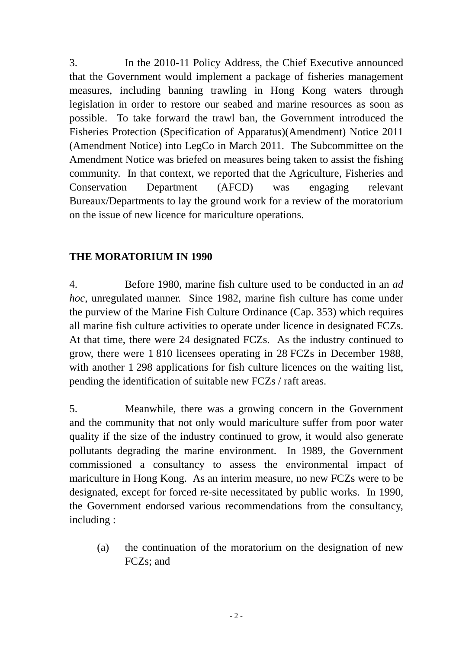3. In the 2010-11 Policy Address, the Chief Executive announced that the Government would implement a package of fisheries management measures, including banning trawling in Hong Kong waters through legislation in order to restore our seabed and marine resources as soon as possible. To take forward the trawl ban, the Government introduced the Fisheries Protection (Specification of Apparatus)(Amendment) Notice 2011 (Amendment Notice) into LegCo in March 2011. The Subcommittee on the Amendment Notice was briefed on measures being taken to assist the fishing community. In that context, we reported that the Agriculture, Fisheries and Conservation Department (AFCD) was engaging relevant Bureaux/Departments to lay the ground work for a review of the moratorium on the issue of new licence for mariculture operations.

#### **THE MORATORIUM IN 1990**

4. Before 1980, marine fish culture used to be conducted in an *ad hoc*, unregulated manner. Since 1982, marine fish culture has come under the purview of the Marine Fish Culture Ordinance (Cap. 353) which requires all marine fish culture activities to operate under licence in designated FCZs. At that time, there were 24 designated FCZs. As the industry continued to grow, there were 1 810 licensees operating in 28 FCZs in December 1988, with another 1 298 applications for fish culture licences on the waiting list, pending the identification of suitable new FCZs / raft areas.

5. Meanwhile, there was a growing concern in the Government and the community that not only would mariculture suffer from poor water quality if the size of the industry continued to grow, it would also generate pollutants degrading the marine environment. In 1989, the Government commissioned a consultancy to assess the environmental impact of mariculture in Hong Kong. As an interim measure, no new FCZs were to be designated, except for forced re-site necessitated by public works. In 1990, the Government endorsed various recommendations from the consultancy, including :

(a) the continuation of the moratorium on the designation of new FCZs; and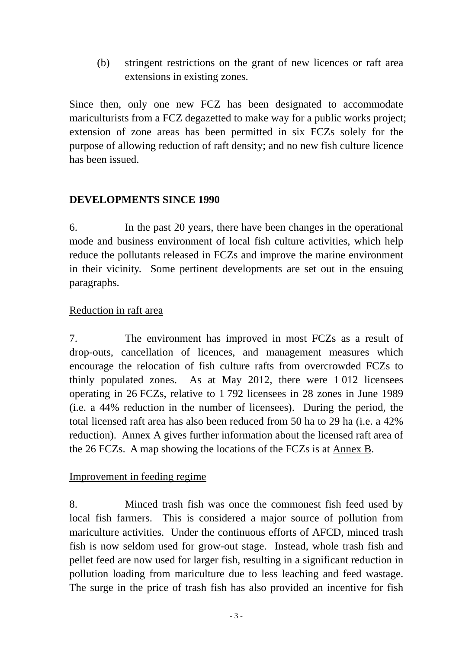(b) stringent restrictions on the grant of new licences or raft area extensions in existing zones.

Since then, only one new FCZ has been designated to accommodate mariculturists from a FCZ degazetted to make way for a public works project; extension of zone areas has been permitted in six FCZs solely for the purpose of allowing reduction of raft density; and no new fish culture licence has been issued.

# **DEVELOPMENTS SINCE 1990**

6. In the past 20 years, there have been changes in the operational mode and business environment of local fish culture activities, which help reduce the pollutants released in FCZs and improve the marine environment in their vicinity. Some pertinent developments are set out in the ensuing paragraphs.

## Reduction in raft area

7. The environment has improved in most FCZs as a result of drop-outs, cancellation of licences, and management measures which encourage the relocation of fish culture rafts from overcrowded FCZs to thinly populated zones. As at May 2012, there were 1 012 licensees operating in 26 FCZs, relative to 1 792 licensees in 28 zones in June 1989 (i.e. a 44% reduction in the number of licensees). During the period, the total licensed raft area has also been reduced from 50 ha to 29 ha (i.e. a 42% reduction). Annex A gives further information about the licensed raft area of the 26 FCZs. A map showing the locations of the FCZs is at Annex B.

## Improvement in feeding regime

8. Minced trash fish was once the commonest fish feed used by local fish farmers. This is considered a major source of pollution from mariculture activities. Under the continuous efforts of AFCD, minced trash fish is now seldom used for grow-out stage. Instead, whole trash fish and pellet feed are now used for larger fish, resulting in a significant reduction in pollution loading from mariculture due to less leaching and feed wastage. The surge in the price of trash fish has also provided an incentive for fish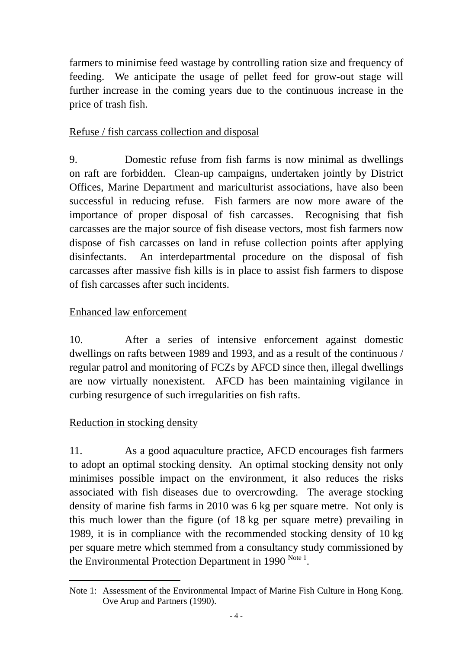farmers to minimise feed wastage by controlling ration size and frequency of feeding. We anticipate the usage of pellet feed for grow-out stage will further increase in the coming years due to the continuous increase in the price of trash fish.

## Refuse / fish carcass collection and disposal

9. Domestic refuse from fish farms is now minimal as dwellings on raft are forbidden. Clean-up campaigns, undertaken jointly by District Offices, Marine Department and mariculturist associations, have also been successful in reducing refuse. Fish farmers are now more aware of the importance of proper disposal of fish carcasses. Recognising that fish carcasses are the major source of fish disease vectors, most fish farmers now dispose of fish carcasses on land in refuse collection points after applying disinfectants. An interdepartmental procedure on the disposal of fish carcasses after massive fish kills is in place to assist fish farmers to dispose of fish carcasses after such incidents.

## Enhanced law enforcement

10. After a series of intensive enforcement against domestic dwellings on rafts between 1989 and 1993, and as a result of the continuous / regular patrol and monitoring of FCZs by AFCD since then, illegal dwellings are now virtually nonexistent. AFCD has been maintaining vigilance in curbing resurgence of such irregularities on fish rafts.

## Reduction in stocking density

11. As a good aquaculture practice, AFCD encourages fish farmers to adopt an optimal stocking density. An optimal stocking density not only minimises possible impact on the environment, it also reduces the risks associated with fish diseases due to overcrowding. The average stocking density of marine fish farms in 2010 was 6 kg per square metre. Not only is this much lower than the figure (of 18 kg per square metre) prevailing in 1989, it is in compliance with the recommended stocking density of 10 kg per square metre which stemmed from a consultancy study commissioned by the Environmental Protection Department in 1990  $^{Note 1}$ .

Note 1: Assessment of the Environmental Impact of Marine Fish Culture in Hong Kong. Ove Arup and Partners (1990).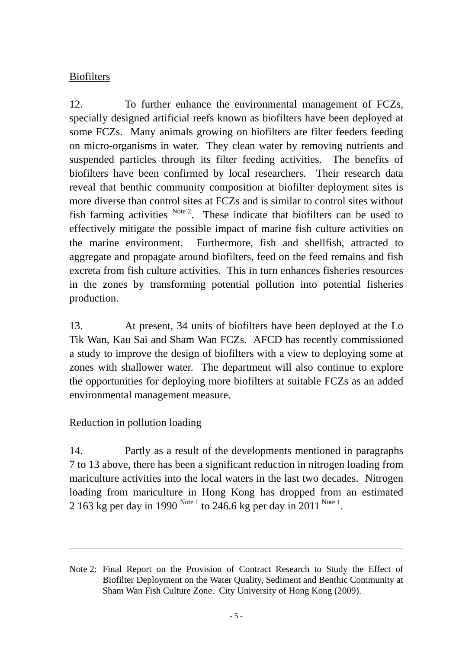# Biofilters

12. To further enhance the environmental management of FCZs, specially designed artificial reefs known as biofilters have been deployed at some FCZs. Many animals growing on biofilters are filter feeders feeding on micro-organisms in water. They clean water by removing nutrients and suspended particles through its filter feeding activities. The benefits of biofilters have been confirmed by local researchers. Their research data reveal that benthic community composition at biofilter deployment sites is more diverse than control sites at FCZs and is similar to control sites without fish farming activities  $N_{\text{ote }2}$ . These indicate that biofilters can be used to effectively mitigate the possible impact of marine fish culture activities on the marine environment. Furthermore, fish and shellfish, attracted to aggregate and propagate around biofilters, feed on the feed remains and fish excreta from fish culture activities. This in turn enhances fisheries resources in the zones by transforming potential pollution into potential fisheries production.

13. At present, 34 units of biofilters have been deployed at the Lo Tik Wan, Kau Sai and Sham Wan FCZs. AFCD has recently commissioned a study to improve the design of biofilters with a view to deploying some at zones with shallower water. The department will also continue to explore the opportunities for deploying more biofilters at suitable FCZs as an added environmental management measure.

## Reduction in pollution loading

14. Partly as a result of the developments mentioned in paragraphs 7 to 13 above, there has been a significant reduction in nitrogen loading from mariculture activities into the local waters in the last two decades. Nitrogen loading from mariculture in Hong Kong has dropped from an estimated 2 163 kg per day in 1990 Note 1 to 246.6 kg per day in 2011 Note 1.

<u> 1989 - Jan Barat de Barat de la contrada de la contrada de la contrada de la contrada de la contrada de la c</u>

Note 2: Final Report on the Provision of Contract Research to Study the Effect of Biofilter Deployment on the Water Quality, Sediment and Benthic Community at Sham Wan Fish Culture Zone. City University of Hong Kong (2009).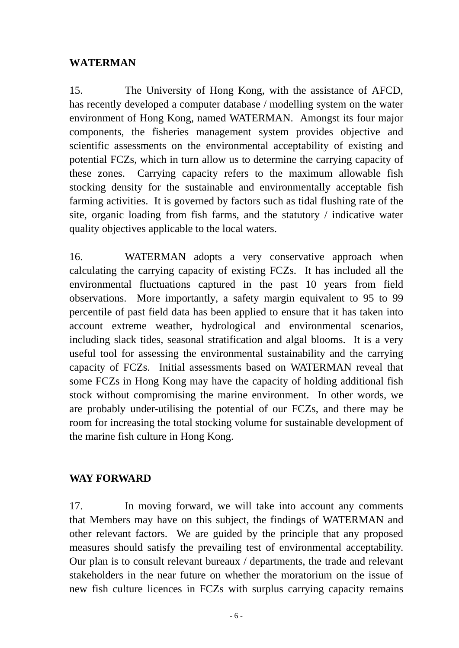#### **WATERMAN**

15. The University of Hong Kong, with the assistance of AFCD, has recently developed a computer database / modelling system on the water environment of Hong Kong, named WATERMAN. Amongst its four major components, the fisheries management system provides objective and scientific assessments on the environmental acceptability of existing and potential FCZs, which in turn allow us to determine the carrying capacity of these zones. Carrying capacity refers to the maximum allowable fish stocking density for the sustainable and environmentally acceptable fish farming activities. It is governed by factors such as tidal flushing rate of the site, organic loading from fish farms, and the statutory / indicative water quality objectives applicable to the local waters.

16. WATERMAN adopts a very conservative approach when calculating the carrying capacity of existing FCZs. It has included all the environmental fluctuations captured in the past 10 years from field observations. More importantly, a safety margin equivalent to 95 to 99 percentile of past field data has been applied to ensure that it has taken into account extreme weather, hydrological and environmental scenarios, including slack tides, seasonal stratification and algal blooms. It is a very useful tool for assessing the environmental sustainability and the carrying capacity of FCZs. Initial assessments based on WATERMAN reveal that some FCZs in Hong Kong may have the capacity of holding additional fish stock without compromising the marine environment. In other words, we are probably under-utilising the potential of our FCZs, and there may be room for increasing the total stocking volume for sustainable development of the marine fish culture in Hong Kong.

## **WAY FORWARD**

17. In moving forward, we will take into account any comments that Members may have on this subject, the findings of WATERMAN and other relevant factors. We are guided by the principle that any proposed measures should satisfy the prevailing test of environmental acceptability. Our plan is to consult relevant bureaux / departments, the trade and relevant stakeholders in the near future on whether the moratorium on the issue of new fish culture licences in FCZs with surplus carrying capacity remains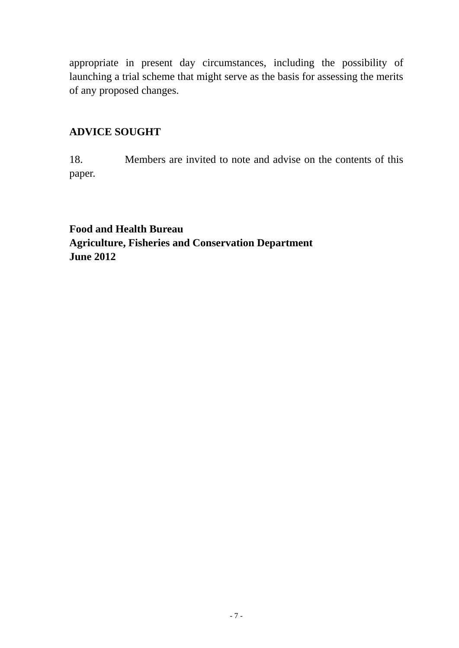appropriate in present day circumstances, including the possibility of launching a trial scheme that might serve as the basis for assessing the merits of any proposed changes.

# **ADVICE SOUGHT**

18. Members are invited to note and advise on the contents of this paper.

**Food and Health Bureau Agriculture, Fisheries and Conservation Department June 2012**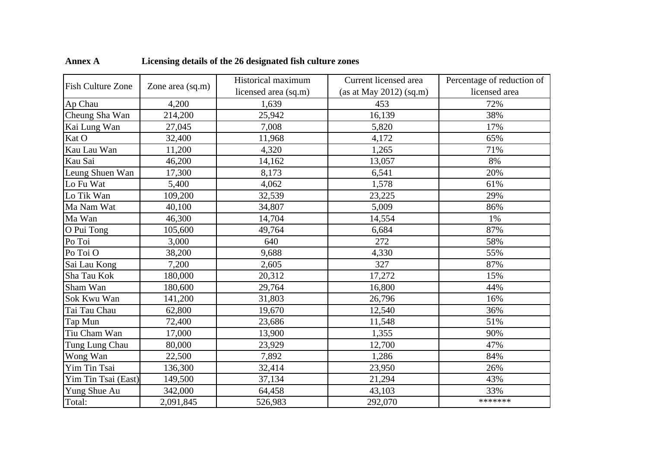|                          |                  | Historical maximum   | Current licensed area     | Percentage of reduction of |
|--------------------------|------------------|----------------------|---------------------------|----------------------------|
| <b>Fish Culture Zone</b> | Zone area (sq.m) | licensed area (sq.m) | (as at May 2012) $(sq.m)$ | licensed area              |
| Ap Chau                  | 4,200            | 1,639                | 453                       | 72%                        |
| Cheung Sha Wan           | 214,200          | 25,942               | 16,139                    | 38%                        |
| Kai Lung Wan             | 27,045           | 7,008                | 5,820                     | 17%                        |
| Kat O                    | 32,400           | 11,968               | 4,172                     | 65%                        |
| Kau Lau Wan              | 11,200           | 4,320                | 1,265                     | 71%                        |
| Kau Sai                  | 46,200           | 14,162               | 13,057                    | 8%                         |
| Leung Shuen Wan          | 17,300           | 8,173                | 6,541                     | 20%                        |
| Lo Fu Wat                | 5,400            | 4,062                | 1,578                     | 61%                        |
| Lo Tik Wan               | 109,200          | 32,539               | 23,225                    | 29%                        |
| Ma Nam Wat               | 40,100           | 34,807               | 5,009                     | 86%                        |
| Ma Wan                   | 46,300           | 14,704               | 14,554                    | 1%                         |
| O Pui Tong               | 105,600          | 49,764               | 6,684                     | 87%                        |
| Po Toi                   | 3,000            | 640                  | 272                       | 58%                        |
| Po Toi O                 | 38,200           | 9,688                | 4,330                     | 55%                        |
| Sai Lau Kong             | 7,200            | 2,605                | 327                       | 87%                        |
| Sha Tau Kok              | 180,000          | 20,312               | 17,272                    | 15%                        |
| Sham Wan                 | 180,600          | 29,764               | 16,800                    | 44%                        |
| Sok Kwu Wan              | 141,200          | 31,803               | 26,796                    | 16%                        |
| Tai Tau Chau             | 62,800           | 19,670               | 12,540                    | 36%                        |
| Tap Mun                  | 72,400           | 23,686               | 11,548                    | 51%                        |
| Tiu Cham Wan             | 17,000           | 13,900               | 1,355                     | 90%                        |
| Tung Lung Chau           | 80,000           | 23,929               | 12,700                    | 47%                        |
| Wong Wan                 | 22,500           | 7,892                | 1,286                     | 84%                        |
| Yim Tin Tsai             | 136,300          | 32,414               | 23,950                    | 26%                        |
| Yim Tin Tsai (East)      | 149,500          | 37,134               | 21,294                    | 43%                        |
| Yung Shue Au             | 342,000          | 64,458               | 43,103                    | 33%                        |
| Total:                   | 2,091,845        | 526,983              | 292,070                   | *******                    |

## **Annex A Licensing details of the 26 designated fish culture zones**